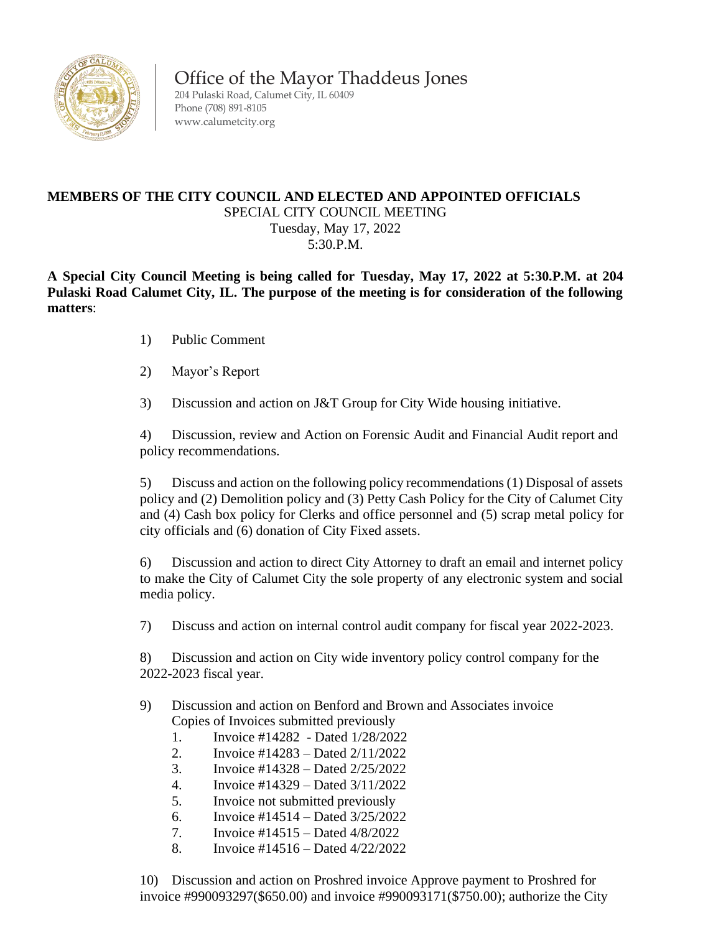

Office of the Mayor Thaddeus Jones

204 Pulaski Road, Calumet City, IL 60409 Phone (708) 891-8105 [www.calumetcity.org](http://www.calumetcity.org/)

## **MEMBERS OF THE CITY COUNCIL AND ELECTED AND APPOINTED OFFICIALS** SPECIAL CITY COUNCIL MEETING Tuesday, May 17, 2022 5:30.P.M.

**A Special City Council Meeting is being called for Tuesday, May 17, 2022 at 5:30.P.M. at 204 Pulaski Road Calumet City, IL. The purpose of the meeting is for consideration of the following matters**:

- 1) Public Comment
- 2) Mayor's Report
- 3) Discussion and action on J&T Group for City Wide housing initiative.

4) Discussion, review and Action on Forensic Audit and Financial Audit report and policy recommendations.

5) Discuss and action on the following policy recommendations (1) Disposal of assets policy and (2) Demolition policy and (3) Petty Cash Policy for the City of Calumet City and (4) Cash box policy for Clerks and office personnel and (5) scrap metal policy for city officials and (6) donation of City Fixed assets.

6) Discussion and action to direct City Attorney to draft an email and internet policy to make the City of Calumet City the sole property of any electronic system and social media policy.

7) Discuss and action on internal control audit company for fiscal year 2022-2023.

8) Discussion and action on City wide inventory policy control company for the 2022-2023 fiscal year.

- 9) Discussion and action on Benford and Brown and Associates invoice Copies of Invoices submitted previously
	- 1. Invoice #14282 Dated 1/28/2022
	- 2. Invoice #14283 Dated 2/11/2022
	- 3. Invoice #14328 Dated 2/25/2022
	- 4. Invoice #14329 Dated 3/11/2022
	- 5. Invoice not submitted previously
	- 6. Invoice #14514 Dated 3/25/2022
	- 7. Invoice #14515 Dated 4/8/2022
	- 8. Invoice #14516 Dated 4/22/2022

10) Discussion and action on Proshred invoice Approve payment to Proshred for invoice #990093297(\$650.00) and invoice #990093171(\$750.00); authorize the City